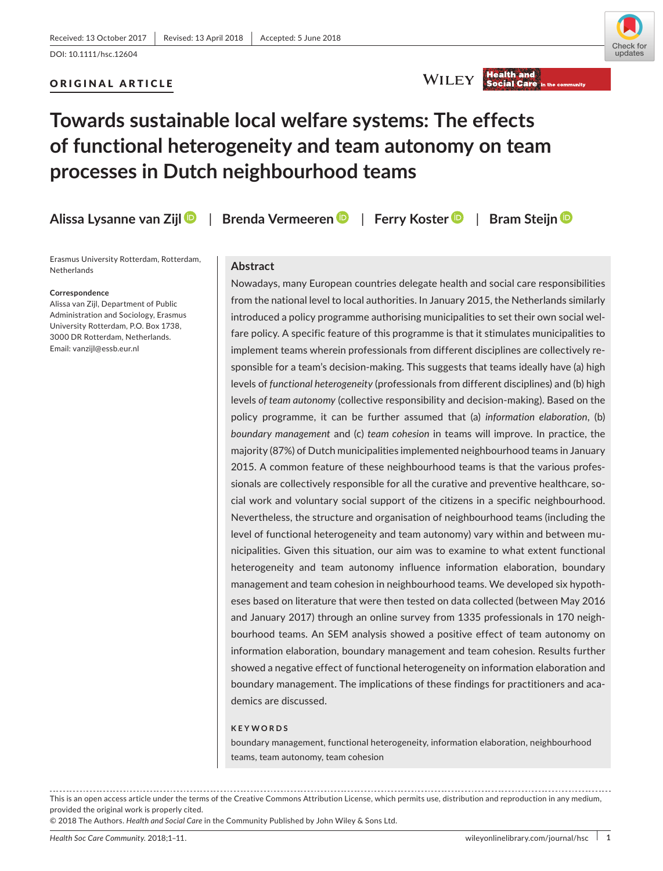# ORIGINAL ARTICLE



WILEY Health and

# **Towards sustainable local welfare systems: The effects of functional heterogeneity and team autonomy on team processes in Dutch neighbourhood teams**

**Alissa Lysanne van Zij[l](http://orcid.org/0000-0003-4569-1514)** | **Brenda Vermeere[n](http://orcid.org/0000-0002-2380-1703)** | **Ferry Koste[r](http://orcid.org/0000-0002-4814-6741)** | **Bram Steij[n](http://orcid.org/0000-0001-7437-7503)**

Erasmus University Rotterdam, Rotterdam, **Netherlands** 

#### **Correspondence**

Alissa van Zijl, Department of Public Administration and Sociology, Erasmus University Rotterdam, P.O. Box 1738, 3000 DR Rotterdam, Netherlands. Email: [vanzijl@essb.eur.nl](mailto:vanzijl@essb.eur.nl)

#### **Abstract**

Nowadays, many European countries delegate health and social care responsibilities from the national level to local authorities. In January 2015, the Netherlands similarly introduced a policy programme authorising municipalities to set their own social welfare policy. A specific feature of this programme is that it stimulates municipalities to implement teams wherein professionals from different disciplines are collectively responsible for a team's decision-making. This suggests that teams ideally have (a) high levels of *functional heterogeneity* (professionals from different disciplines) and (b) high levels *of team autonomy* (collective responsibility and decision-making). Based on the policy programme, it can be further assumed that (a) *information elaboration*, (b) *boundary management* and (c) *team cohesion* in teams will improve. In practice, the majority (87%) of Dutch municipalities implemented neighbourhood teams in January 2015. A common feature of these neighbourhood teams is that the various professionals are collectively responsible for all the curative and preventive healthcare, social work and voluntary social support of the citizens in a specific neighbourhood. Nevertheless, the structure and organisation of neighbourhood teams (including the level of functional heterogeneity and team autonomy) vary within and between municipalities. Given this situation, our aim was to examine to what extent functional heterogeneity and team autonomy influence information elaboration, boundary management and team cohesion in neighbourhood teams. We developed six hypotheses based on literature that were then tested on data collected (between May 2016 and January 2017) through an online survey from 1335 professionals in 170 neighbourhood teams. An SEM analysis showed a positive effect of team autonomy on information elaboration, boundary management and team cohesion. Results further showed a negative effect of functional heterogeneity on information elaboration and boundary management. The implications of these findings for practitioners and academics are discussed.

#### **KEYWORDS**

boundary management, functional heterogeneity, information elaboration, neighbourhood teams, team autonomy, team cohesion

This is an open access article under the terms of the Creative Commons [Attribution](http://creativecommons.org/licenses/by/4.0/) License, which permits use, distribution and reproduction in any medium, provided the original work is properly cited.

© 2018 The Authors. *Health and Social Care* in the Community Published by John Wiley & Sons Ltd.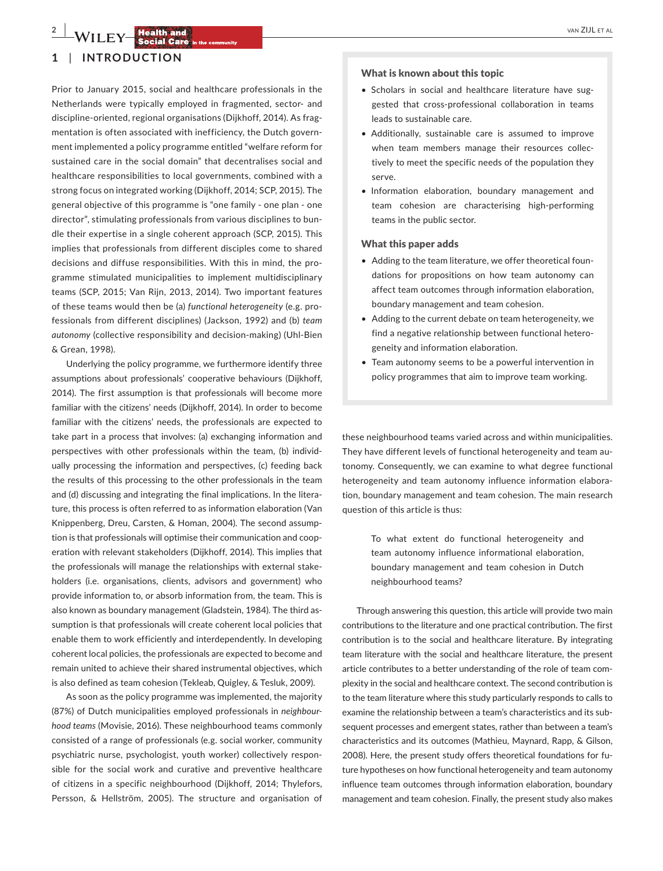# **2 b 1**  $\mathbf{M}$  **liefs 1**  $\mathbf{M}$  **<b>liefs 1**  $\mathbf{M}$  **1**  $\mathbf{M}$  **1**  $\mathbf{M}$  **1**  $\mathbf{M}$  **1**  $\mathbf{M}$  **1**  $\mathbf{M}$  **1**  $\mathbf{M}$  **1**  $\mathbf{M}$  **1**  $\mathbf{M}$  **1**  $\mathbf{M}$  **1**  $\mathbf{M}$  **1**  $\mathbf{M}$  **1**  $\mathbf{M}$  **1**

# **1** | **INTRODUCTION**

Prior to January 2015, social and healthcare professionals in the Netherlands were typically employed in fragmented, sector‐ and discipline‐oriented, regional organisations (Dijkhoff, 2014). As fragmentation is often associated with inefficiency, the Dutch government implemented a policy programme entitled "welfare reform for sustained care in the social domain" that decentralises social and healthcare responsibilities to local governments, combined with a strong focus on integrated working (Dijkhoff, 2014; SCP, 2015). The general objective of this programme is "one family ‐ one plan ‐ one director", stimulating professionals from various disciplines to bundle their expertise in a single coherent approach (SCP, 2015). This implies that professionals from different disciples come to shared decisions and diffuse responsibilities. With this in mind, the programme stimulated municipalities to implement multidisciplinary teams (SCP, 2015; Van Rijn, 2013, 2014). Two important features of these teams would then be (a) *functional heterogeneity* (e.g. professionals from different disciplines) (Jackson, 1992) and (b) *team autonomy* (collective responsibility and decision‐making) (Uhl‐Bien & Grean, 1998).

Underlying the policy programme, we furthermore identify three assumptions about professionals' cooperative behaviours (Dijkhoff, 2014). The first assumption is that professionals will become more familiar with the citizens' needs (Dijkhoff, 2014). In order to become familiar with the citizens' needs, the professionals are expected to take part in a process that involves: (a) exchanging information and perspectives with other professionals within the team, (b) individually processing the information and perspectives, (c) feeding back the results of this processing to the other professionals in the team and (d) discussing and integrating the final implications. In the literature, this process is often referred to as information elaboration (Van Knippenberg, Dreu, Carsten, & Homan, 2004). The second assumption is that professionals will optimise their communication and cooperation with relevant stakeholders (Dijkhoff, 2014). This implies that the professionals will manage the relationships with external stakeholders (i.e. organisations, clients, advisors and government) who provide information to, or absorb information from, the team. This is also known as boundary management (Gladstein, 1984). The third assumption is that professionals will create coherent local policies that enable them to work efficiently and interdependently. In developing coherent local policies, the professionals are expected to become and remain united to achieve their shared instrumental objectives, which is also defined as team cohesion (Tekleab, Quigley, & Tesluk, 2009).

As soon as the policy programme was implemented, the majority (87%) of Dutch municipalities employed professionals in *neighbour‐ hood teams* (Movisie, 2016). These neighbourhood teams commonly consisted of a range of professionals (e.g. social worker, community psychiatric nurse, psychologist, youth worker) collectively responsible for the social work and curative and preventive healthcare of citizens in a specific neighbourhood (Dijkhoff, 2014; Thylefors, Persson, & Hellström, 2005). The structure and organisation of

#### What is known about this topic

- Scholars in social and healthcare literature have suggested that cross‐professional collaboration in teams leads to sustainable care.
- Additionally, sustainable care is assumed to improve when team members manage their resources collectively to meet the specific needs of the population they serve.
- Information elaboration, boundary management and team cohesion are characterising high‐performing teams in the public sector.

#### What this paper adds

- Adding to the team literature, we offer theoretical foundations for propositions on how team autonomy can affect team outcomes through information elaboration, boundary management and team cohesion.
- • Adding to the current debate on team heterogeneity, we find a negative relationship between functional heterogeneity and information elaboration.
- Team autonomy seems to be a powerful intervention in policy programmes that aim to improve team working.

these neighbourhood teams varied across and within municipalities. They have different levels of functional heterogeneity and team autonomy. Consequently, we can examine to what degree functional heterogeneity and team autonomy influence information elaboration, boundary management and team cohesion. The main research question of this article is thus:

> To what extent do functional heterogeneity and team autonomy influence informational elaboration, boundary management and team cohesion in Dutch neighbourhood teams?

Through answering this question, this article will provide two main contributions to the literature and one practical contribution. The first contribution is to the social and healthcare literature. By integrating team literature with the social and healthcare literature, the present article contributes to a better understanding of the role of team complexity in the social and healthcare context. The second contribution is to the team literature where this study particularly responds to calls to examine the relationship between a team's characteristics and its subsequent processes and emergent states, rather than between a team's characteristics and its outcomes (Mathieu, Maynard, Rapp, & Gilson, 2008). Here, the present study offers theoretical foundations for future hypotheses on how functional heterogeneity and team autonomy influence team outcomes through information elaboration, boundary management and team cohesion. Finally, the present study also makes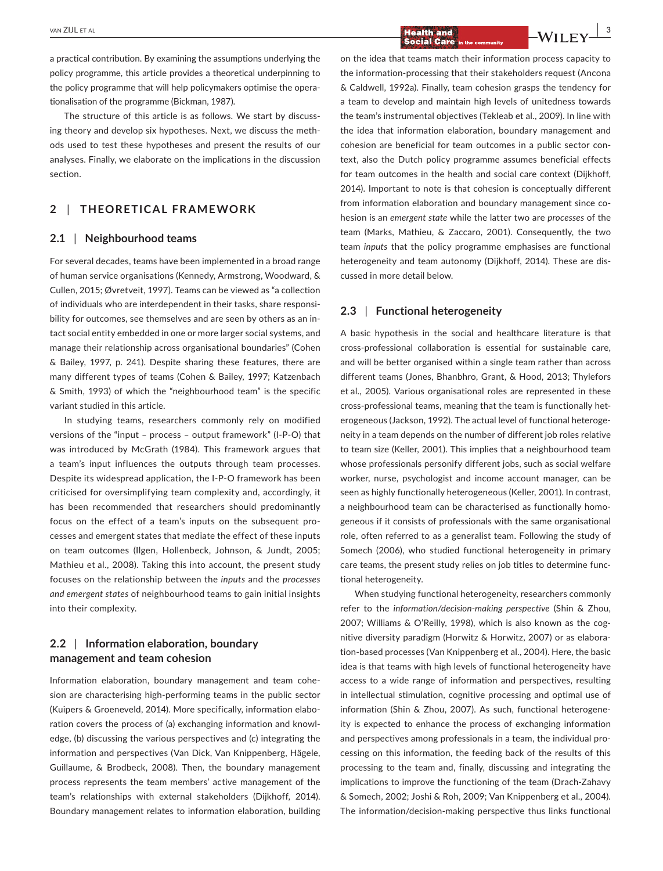$\frac{1}{2}$  **Health and**  $\frac{1}{2}$  $\frac{1}{2}$   $\frac{3}{2}$  **Health and**  $\frac{1}{2}$   $\frac{1}{2}$   $\frac{1}{2}$   $\frac{3}{2}$ 

a practical contribution. By examining the assumptions underlying the policy programme, this article provides a theoretical underpinning to the policy programme that will help policymakers optimise the operationalisation of the programme (Bickman, 1987).

The structure of this article is as follows. We start by discussing theory and develop six hypotheses. Next, we discuss the methods used to test these hypotheses and present the results of our analyses. Finally, we elaborate on the implications in the discussion section.

# **2** | **THEORETICAL FRAMEWORK**

# **2.1** | **Neighbourhood teams**

For several decades, teams have been implemented in a broad range of human service organisations (Kennedy, Armstrong, Woodward, & Cullen, 2015; Øvretveit, 1997). Teams can be viewed as "a collection of individuals who are interdependent in their tasks, share responsibility for outcomes, see themselves and are seen by others as an intact social entity embedded in one or more larger social systems, and manage their relationship across organisational boundaries" (Cohen & Bailey, 1997, p. 241). Despite sharing these features, there are many different types of teams (Cohen & Bailey, 1997; Katzenbach & Smith, 1993) of which the "neighbourhood team" is the specific variant studied in this article.

In studying teams, researchers commonly rely on modified versions of the "input – process – output framework" (I‐P‐O) that was introduced by McGrath (1984). This framework argues that a team's input influences the outputs through team processes. Despite its widespread application, the I‐P‐O framework has been criticised for oversimplifying team complexity and, accordingly, it has been recommended that researchers should predominantly focus on the effect of a team's inputs on the subsequent processes and emergent states that mediate the effect of these inputs on team outcomes (Ilgen, Hollenbeck, Johnson, & Jundt, 2005; Mathieu et al., 2008). Taking this into account, the present study focuses on the relationship between the *inputs* and the *processes and emergent states* of neighbourhood teams to gain initial insights into their complexity.

# **2.2** | **Information elaboration, boundary management and team cohesion**

Information elaboration, boundary management and team cohesion are characterising high‐performing teams in the public sector (Kuipers & Groeneveld, 2014). More specifically, information elaboration covers the process of (a) exchanging information and knowledge, (b) discussing the various perspectives and (c) integrating the information and perspectives (Van Dick, Van Knippenberg, Hägele, Guillaume, & Brodbeck, 2008). Then, the boundary management process represents the team members' active management of the team's relationships with external stakeholders (Dijkhoff, 2014). Boundary management relates to information elaboration, building

on the idea that teams match their information process capacity to the information‐processing that their stakeholders request (Ancona & Caldwell, 1992a). Finally, team cohesion grasps the tendency for a team to develop and maintain high levels of unitedness towards the team's instrumental objectives (Tekleab et al., 2009). In line with the idea that information elaboration, boundary management and cohesion are beneficial for team outcomes in a public sector context, also the Dutch policy programme assumes beneficial effects for team outcomes in the health and social care context (Dijkhoff, 2014). Important to note is that cohesion is conceptually different from information elaboration and boundary management since cohesion is an *emergent state* while the latter two are *processes* of the team (Marks, Mathieu, & Zaccaro, 2001). Consequently, the two team *inputs* that the policy programme emphasises are functional heterogeneity and team autonomy (Dijkhoff, 2014). These are discussed in more detail below.

# **2.3** | **Functional heterogeneity**

A basic hypothesis in the social and healthcare literature is that cross‐professional collaboration is essential for sustainable care, and will be better organised within a single team rather than across different teams (Jones, Bhanbhro, Grant, & Hood, 2013; Thylefors et al., 2005). Various organisational roles are represented in these cross‐professional teams, meaning that the team is functionally heterogeneous (Jackson, 1992). The actual level of functional heterogeneity in a team depends on the number of different job roles relative to team size (Keller, 2001). This implies that a neighbourhood team whose professionals personify different jobs, such as social welfare worker, nurse, psychologist and income account manager, can be seen as highly functionally heterogeneous (Keller, 2001). In contrast, a neighbourhood team can be characterised as functionally homogeneous if it consists of professionals with the same organisational role, often referred to as a generalist team. Following the study of Somech (2006), who studied functional heterogeneity in primary care teams, the present study relies on job titles to determine functional heterogeneity.

When studying functional heterogeneity, researchers commonly refer to the *information/decision‐making perspective* (Shin & Zhou, 2007; Williams & O'Reilly, 1998), which is also known as the cognitive diversity paradigm (Horwitz & Horwitz, 2007) or as elaboration‐based processes (Van Knippenberg et al., 2004). Here, the basic idea is that teams with high levels of functional heterogeneity have access to a wide range of information and perspectives, resulting in intellectual stimulation, cognitive processing and optimal use of information (Shin & Zhou, 2007). As such, functional heterogeneity is expected to enhance the process of exchanging information and perspectives among professionals in a team, the individual processing on this information, the feeding back of the results of this processing to the team and, finally, discussing and integrating the implications to improve the functioning of the team (Drach‐Zahavy & Somech, 2002; Joshi & Roh, 2009; Van Knippenberg et al., 2004). The information/decision‐making perspective thus links functional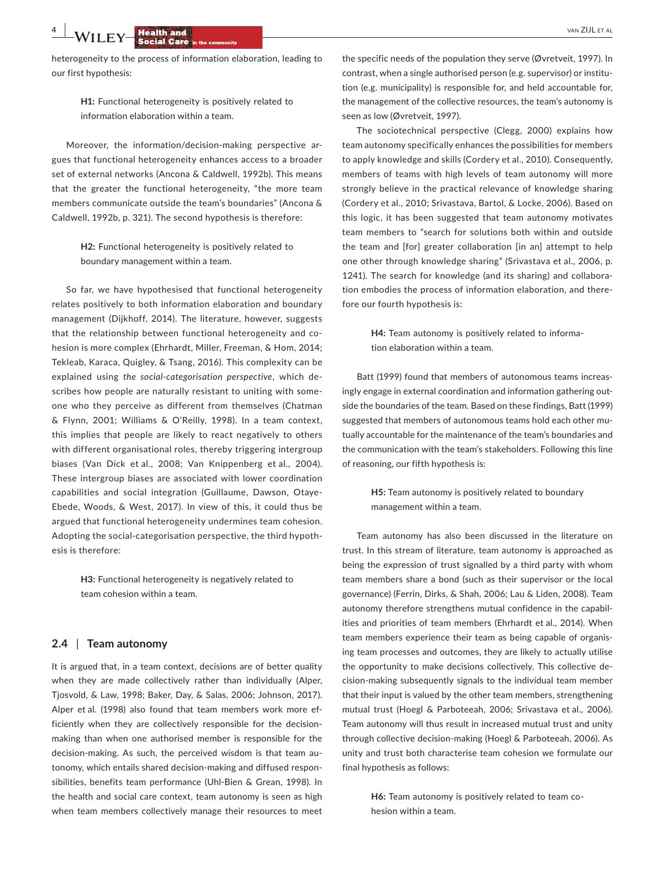heterogeneity to the process of information elaboration, leading to our first hypothesis:

> **H1:** Functional heterogeneity is positively related to information elaboration within a team.

Moreover, the information/decision-making perspective argues that functional heterogeneity enhances access to a broader set of external networks (Ancona & Caldwell, 1992b). This means that the greater the functional heterogeneity, "the more team members communicate outside the team's boundaries" (Ancona & Caldwell, 1992b, p. 321). The second hypothesis is therefore:

> **H2:** Functional heterogeneity is positively related to boundary management within a team.

So far, we have hypothesised that functional heterogeneity relates positively to both information elaboration and boundary management (Dijkhoff, 2014). The literature, however, suggests that the relationship between functional heterogeneity and cohesion is more complex (Ehrhardt, Miller, Freeman, & Hom, 2014; Tekleab, Karaca, Quigley, & Tsang, 2016). This complexity can be explained using *the social‐categorisation perspective*, which describes how people are naturally resistant to uniting with someone who they perceive as different from themselves (Chatman & Flynn, 2001; Williams & O'Reilly, 1998). In a team context, this implies that people are likely to react negatively to others with different organisational roles, thereby triggering intergroup biases (Van Dick et al., 2008; Van Knippenberg et al., 2004). These intergroup biases are associated with lower coordination capabilities and social integration (Guillaume, Dawson, Otaye‐ Ebede, Woods, & West, 2017). In view of this, it could thus be argued that functional heterogeneity undermines team cohesion. Adopting the social‐categorisation perspective, the third hypothesis is therefore:

> **H3:** Functional heterogeneity is negatively related to team cohesion within a team.

## **2.4** | **Team autonomy**

It is argued that, in a team context, decisions are of better quality when they are made collectively rather than individually (Alper, Tjosvold, & Law, 1998; Baker, Day, & Salas, 2006; Johnson, 2017). Alper et al. (1998) also found that team members work more efficiently when they are collectively responsible for the decision‐ making than when one authorised member is responsible for the decision‐making. As such, the perceived wisdom is that team autonomy, which entails shared decision‐making and diffused responsibilities, benefits team performance (Uhl‐Bien & Grean, 1998). In the health and social care context, team autonomy is seen as high when team members collectively manage their resources to meet the specific needs of the population they serve (Øvretveit, 1997). In contrast, when a single authorised person (e.g. supervisor) or institution (e.g. municipality) is responsible for, and held accountable for, the management of the collective resources, the team's autonomy is seen as low (Øvretveit, 1997).

The sociotechnical perspective (Clegg, 2000) explains how team autonomy specifically enhances the possibilities for members to apply knowledge and skills (Cordery et al., 2010). Consequently, members of teams with high levels of team autonomy will more strongly believe in the practical relevance of knowledge sharing (Cordery et al., 2010; Srivastava, Bartol, & Locke, 2006). Based on this logic, it has been suggested that team autonomy motivates team members to "search for solutions both within and outside the team and [for] greater collaboration [in an] attempt to help one other through knowledge sharing" (Srivastava et al., 2006, p. 1241). The search for knowledge (and its sharing) and collaboration embodies the process of information elaboration, and therefore our fourth hypothesis is:

> **H4:** Team autonomy is positively related to information elaboration within a team.

Batt (1999) found that members of autonomous teams increasingly engage in external coordination and information gathering outside the boundaries of the team. Based on these findings, Batt (1999) suggested that members of autonomous teams hold each other mutually accountable for the maintenance of the team's boundaries and the communication with the team's stakeholders. Following this line of reasoning, our fifth hypothesis is:

> **H5:** Team autonomy is positively related to boundary management within a team.

Team autonomy has also been discussed in the literature on trust. In this stream of literature, team autonomy is approached as being the expression of trust signalled by a third party with whom team members share a bond (such as their supervisor or the local governance) (Ferrin, Dirks, & Shah, 2006; Lau & Liden, 2008). Team autonomy therefore strengthens mutual confidence in the capabilities and priorities of team members (Ehrhardt et al., 2014). When team members experience their team as being capable of organising team processes and outcomes, they are likely to actually utilise the opportunity to make decisions collectively. This collective decision‐making subsequently signals to the individual team member that their input is valued by the other team members, strengthening mutual trust (Hoegl & Parboteeah, 2006; Srivastava et al., 2006). Team autonomy will thus result in increased mutual trust and unity through collective decision‐making (Hoegl & Parboteeah, 2006). As unity and trust both characterise team cohesion we formulate our final hypothesis as follows:

> **H6:** Team autonomy is positively related to team cohesion within a team.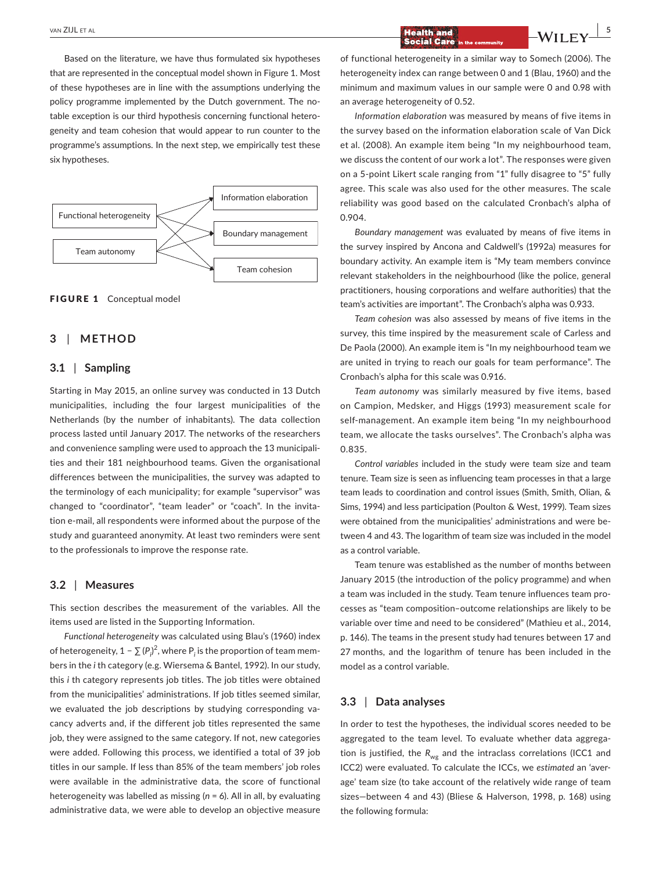Based on the literature, we have thus formulated six hypotheses that are represented in the conceptual model shown in Figure 1. Most of these hypotheses are in line with the assumptions underlying the policy programme implemented by the Dutch government. The notable exception is our third hypothesis concerning functional heterogeneity and team cohesion that would appear to run counter to the programme's assumptions. In the next step, we empirically test these six hypotheses.



FIGURE 1 Conceptual model

## **3** | **METHOD**

## **3.1** | **Sampling**

Starting in May 2015, an online survey was conducted in 13 Dutch municipalities, including the four largest municipalities of the Netherlands (by the number of inhabitants). The data collection process lasted until January 2017. The networks of the researchers and convenience sampling were used to approach the 13 municipalities and their 181 neighbourhood teams. Given the organisational differences between the municipalities, the survey was adapted to the terminology of each municipality; for example "supervisor" was changed to "coordinator", "team leader" or "coach". In the invitation e‐mail, all respondents were informed about the purpose of the study and guaranteed anonymity. At least two reminders were sent to the professionals to improve the response rate.

#### **3.2** | **Measures**

This section describes the measurement of the variables. All the items used are listed in the Supporting Information.

*Functional heterogeneity* was calculated using Blau's (1960) index of heterogeneity, 1 −  $\sum$  (P<sub>i</sub>)<sup>2</sup>, where P<sub>i</sub> is the proportion of team members in the *i* th category (e.g. Wiersema & Bantel, 1992). In our study, this *i* th category represents job titles. The job titles were obtained from the municipalities' administrations. If job titles seemed similar, we evaluated the job descriptions by studying corresponding vacancy adverts and, if the different job titles represented the same job, they were assigned to the same category. If not, new categories were added. Following this process, we identified a total of 39 job titles in our sample. If less than 85% of the team members' job roles were available in the administrative data, the score of functional heterogeneity was labelled as missing (*n* = 6). All in all, by evaluating administrative data, we were able to develop an objective measure

# **THE ALL ET ALL EXAMPLE 2008 CONTROLLER AND LOCAL EXAMPLE 2009 CONTROLLER AND LOCAL EXAMPLE 2009 CONTROLLER AND LOCAL EXAMPLE 2009 CONTROLLER AND LOCAL EXAMPLE 2009 CONTROLLER AND LOCAL EXAMPLE 2009 CONTROLLER AND LOCAL EX**

of functional heterogeneity in a similar way to Somech (2006). The heterogeneity index can range between 0 and 1 (Blau, 1960) and the minimum and maximum values in our sample were 0 and 0.98 with an average heterogeneity of 0.52.

*Information elaboration* was measured by means of five items in the survey based on the information elaboration scale of Van Dick et al. (2008). An example item being "In my neighbourhood team, we discuss the content of our work a lot". The responses were given on a 5‐point Likert scale ranging from "1" fully disagree to "5" fully agree. This scale was also used for the other measures. The scale reliability was good based on the calculated Cronbach's alpha of 0.904.

*Boundary management* was evaluated by means of five items in the survey inspired by Ancona and Caldwell's (1992a) measures for boundary activity. An example item is "My team members convince relevant stakeholders in the neighbourhood (like the police, general practitioners, housing corporations and welfare authorities) that the team's activities are important". The Cronbach's alpha was 0.933.

*Team cohesion* was also assessed by means of five items in the survey, this time inspired by the measurement scale of Carless and De Paola (2000). An example item is "In my neighbourhood team we are united in trying to reach our goals for team performance". The Cronbach's alpha for this scale was 0.916.

*Team autonomy* was similarly measured by five items, based on Campion, Medsker, and Higgs (1993) measurement scale for self-management. An example item being "In my neighbourhood team, we allocate the tasks ourselves". The Cronbach's alpha was 0.835.

*Control variables* included in the study were team size and team tenure. Team size is seen as influencing team processes in that a large team leads to coordination and control issues (Smith, Smith, Olian, & Sims, 1994) and less participation (Poulton & West, 1999). Team sizes were obtained from the municipalities' administrations and were between 4 and 43. The logarithm of team size was included in the model as a control variable.

Team tenure was established as the number of months between January 2015 (the introduction of the policy programme) and when a team was included in the study. Team tenure influences team processes as "team composition–outcome relationships are likely to be variable over time and need to be considered" (Mathieu et al., 2014, p. 146). The teams in the present study had tenures between 17 and 27 months, and the logarithm of tenure has been included in the model as a control variable.

# **3.3** | **Data analyses**

In order to test the hypotheses, the individual scores needed to be aggregated to the team level. To evaluate whether data aggregation is justified, the R<sub>wg</sub> and the intraclass correlations (ICC1 and ICC2) were evaluated. To calculate the ICCs, we *estimated* an 'average' team size (to take account of the relatively wide range of team sizes—between 4 and 43) (Bliese & Halverson, 1998, p. 168) using the following formula: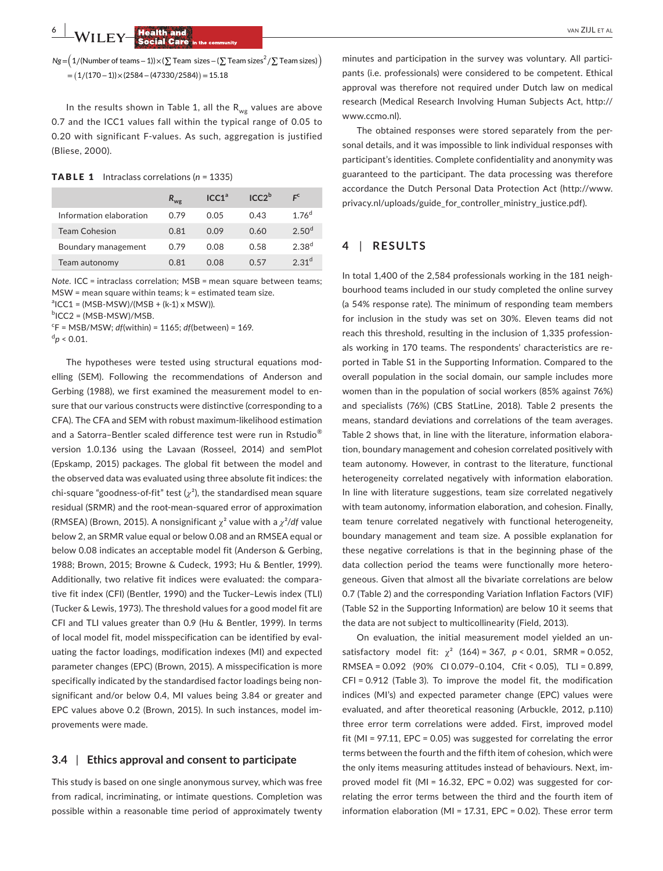**EX EX BUT ALL EX BUT ALL ET ALL ET ALL ET ALL ET ALL ET ALL ET ALL ET ALL ET ALL ET ALL ET ALL ET ALL ET ALL ET ALL ET ALL ET ALL ET ALL ET ALL ET ALL ET ALL ET ALL ET ALL ET ALL ET ALL ET ALL ET ALL ET ALL ET ALL E** 

*Ng* = $\left($  1/(Number of teams – 1))×(∑ Team sizes – (∑ Team sizes $^2$ /∑ Team sizes) $\right)$ =� 1∕(170−1))×(2584−(47330∕2584)� =15.18

In the results shown in Table 1, all the  $R_{we}$  values are above 0.7 and the ICC1 values fall within the typical range of 0.05 to 0.20 with significant F‐values. As such, aggregation is justified (Bliese, 2000).

#### TABLE 1 Intraclass correlations (*n* = 1335)

|                         | $R_{we}$ | ICC1 <sup>a</sup> | ICC2 <sup>b</sup> |                   |
|-------------------------|----------|-------------------|-------------------|-------------------|
| Information elaboration | 0.79     | 0.05              | 0.43              | 1.76 <sup>d</sup> |
| <b>Team Cohesion</b>    | 0.81     | 0.09              | 0.60              | 2.50 <sup>d</sup> |
| Boundary management     | 0.79     | 0.08              | 0.58              | $2.38^{d}$        |
| Team autonomy           | 0.81     | 0.08              | በ 57              | 2.31 <sup>d</sup> |

*Note*. ICC = intraclass correlation; MSB = mean square between teams; MSW = mean square within teams; k = estimated team size.

 ${}^{a}$ ICC1 = (MSB-MSW)/(MSB + (k-1) x MSW)).

<sup>b</sup>ICC2 = (MSB-MSW)/MSB.

c F = MSB/MSW; *df*(within) = 1165; *df*(between) = 169.

 $\rm{^{d}p}$  < 0.01.

The hypotheses were tested using structural equations modelling (SEM). Following the recommendations of Anderson and Gerbing (1988), we first examined the measurement model to ensure that our various constructs were distinctive (corresponding to a CFA). The CFA and SEM with robust maximum‐likelihood estimation and a Satorra-Bentler scaled difference test were run in Rstudio<sup>®</sup> version 1.0.136 using the Lavaan (Rosseel, 2014) and semPlot (Epskamp, 2015) packages. The global fit between the model and the observed data was evaluated using three absolute fit indices: the chi-square "goodness-of-fit" test  $(\chi^2)$ , the standardised mean square residual (SRMR) and the root‐mean‐squared error of approximation (RMSEA) (Brown, 2015). A nonsignificant χ² value with a *χ*²/*df* value below 2, an SRMR value equal or below 0.08 and an RMSEA equal or below 0.08 indicates an acceptable model fit (Anderson & Gerbing, 1988; Brown, 2015; Browne & Cudeck, 1993; Hu & Bentler, 1999). Additionally, two relative fit indices were evaluated: the comparative fit index (CFI) (Bentler, 1990) and the Tucker–Lewis index (TLI) (Tucker & Lewis, 1973). The threshold values for a good model fit are CFI and TLI values greater than 0.9 (Hu & Bentler, 1999). In terms of local model fit, model misspecification can be identified by evaluating the factor loadings, modification indexes (MI) and expected parameter changes (EPC) (Brown, 2015). A misspecification is more specifically indicated by the standardised factor loadings being nonsignificant and/or below 0.4, MI values being 3.84 or greater and EPC values above 0.2 (Brown, 2015). In such instances, model improvements were made.

## **3.4** | **Ethics approval and consent to participate**

This study is based on one single anonymous survey, which was free from radical, incriminating, or intimate questions. Completion was possible within a reasonable time period of approximately twenty

minutes and participation in the survey was voluntary. All participants (i.e. professionals) were considered to be competent. Ethical approval was therefore not required under Dutch law on medical research (Medical Research Involving Human Subjects Act, [http://](http://www.ccmo.nl) [www.ccmo.nl](http://www.ccmo.nl)).

The obtained responses were stored separately from the personal details, and it was impossible to link individual responses with participant's identities. Complete confidentiality and anonymity was guaranteed to the participant. The data processing was therefore accordance the Dutch Personal Data Protection Act ([http://www.](http://www.privacy.nl/uploads/guide_for_controller_ministry_justice.pdf) privacy.nl/uploads/guide\_for\_controller\_ministry\_iustice.pdf).

# **4** | **RESULTS**

In total 1,400 of the 2,584 professionals working in the 181 neighbourhood teams included in our study completed the online survey (a 54% response rate). The minimum of responding team members for inclusion in the study was set on 30%. Eleven teams did not reach this threshold, resulting in the inclusion of 1,335 professionals working in 170 teams. The respondents' characteristics are reported in Table S1 in the Supporting Information. Compared to the overall population in the social domain, our sample includes more women than in the population of social workers (85% against 76%) and specialists (76%) (CBS StatLine, 2018). Table 2 presents the means, standard deviations and correlations of the team averages. Table 2 shows that, in line with the literature, information elaboration, boundary management and cohesion correlated positively with team autonomy. However, in contrast to the literature, functional heterogeneity correlated negatively with information elaboration. In line with literature suggestions, team size correlated negatively with team autonomy, information elaboration, and cohesion. Finally, team tenure correlated negatively with functional heterogeneity, boundary management and team size. A possible explanation for these negative correlations is that in the beginning phase of the data collection period the teams were functionally more heterogeneous. Given that almost all the bivariate correlations are below 0.7 (Table 2) and the corresponding Variation Inflation Factors (VIF) (Table S2 in the Supporting Information) are below 10 it seems that the data are not subject to multicollinearity (Field, 2013).

On evaluation, the initial measurement model yielded an unsatisfactory model fit:  $\chi^2$  (164) = 367,  $p < 0.01$ , SRMR = 0.052, RMSEA = 0.092 (90% CI 0.079–0.104, Cfit < 0.05), TLI = 0.899, CFI = 0.912 (Table 3). To improve the model fit, the modification indices (MI's) and expected parameter change (EPC) values were evaluated, and after theoretical reasoning (Arbuckle, 2012, p.110) three error term correlations were added. First, improved model fit (MI = 97.11, EPC = 0.05) was suggested for correlating the error terms between the fourth and the fifth item of cohesion, which were the only items measuring attitudes instead of behaviours. Next, improved model fit (MI = 16.32, EPC = 0.02) was suggested for correlating the error terms between the third and the fourth item of information elaboration (MI = 17.31, EPC = 0.02). These error term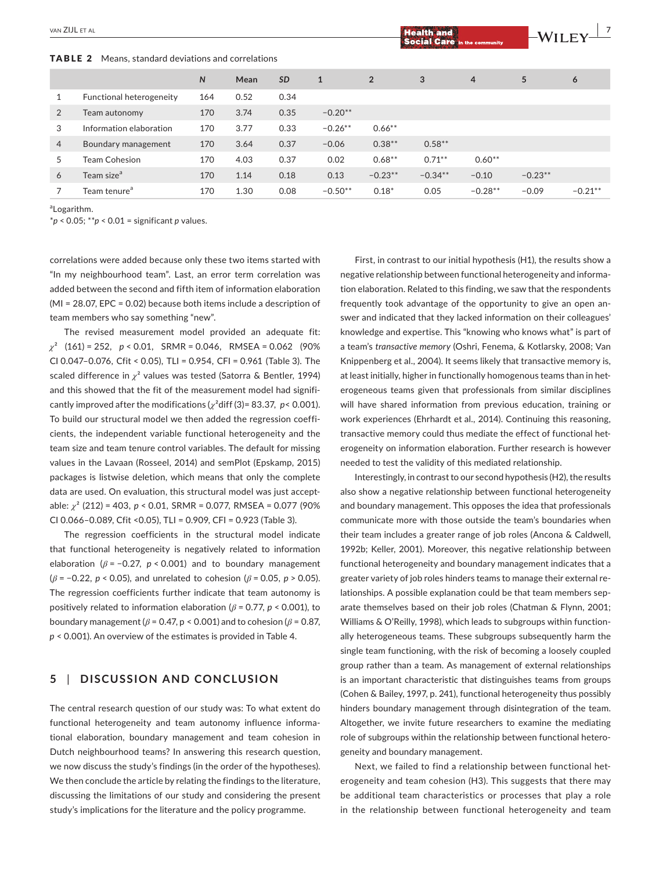TABLE 2 Means, standard deviations and correlations

| .<br>ellication, otalitaal a deviations and correlations |                          |              |      |           |              |                |           |                |           |           |
|----------------------------------------------------------|--------------------------|--------------|------|-----------|--------------|----------------|-----------|----------------|-----------|-----------|
|                                                          |                          | $\mathsf{N}$ | Mean | <b>SD</b> | $\mathbf{1}$ | $\overline{2}$ | 3         | $\overline{4}$ | 5         | 6         |
|                                                          | Functional heterogeneity | 164          | 0.52 | 0.34      |              |                |           |                |           |           |
| $\overline{2}$                                           | Team autonomy            | 170          | 3.74 | 0.35      | $-0.20**$    |                |           |                |           |           |
| 3                                                        | Information elaboration  | 170          | 3.77 | 0.33      | $-0.26**$    | $0.66***$      |           |                |           |           |
| $\overline{4}$                                           | Boundary management      | 170          | 3.64 | 0.37      | $-0.06$      | $0.38***$      | $0.58***$ |                |           |           |
| 5                                                        | Team Cohesion            | 170          | 4.03 | 0.37      | 0.02         | $0.68***$      | $0.71***$ | $0.60**$       |           |           |
| 6                                                        | Team size <sup>a</sup>   | 170          | 1.14 | 0.18      | 0.13         | $-0.23**$      | $-0.34**$ | $-0.10$        | $-0.23**$ |           |
|                                                          | Team tenure <sup>a</sup> | 170          | 1.30 | 0.08      | $-0.50**$    | $0.18*$        | 0.05      | $-0.28**$      | $-0.09$   | $-0.21**$ |

a Logarithm.

\**p* < 0.05; \*\**p* < 0.01 = significant *p* values.

correlations were added because only these two items started with "In my neighbourhood team". Last, an error term correlation was added between the second and fifth item of information elaboration (MI = 28.07, EPC = 0.02) because both items include a description of team members who say something "new".

The revised measurement model provided an adequate fit: *χ*² (161) = 252, *p* < 0.01, SRMR = 0.046, RMSEA = 0.062 (90% CI 0.047–0.076, Cfit < 0.05), TLI = 0.954, CFI = 0.961 (Table 3). The scaled difference in *χ*² values was tested (Satorra & Bentler, 1994) and this showed that the fit of the measurement model had significantly improved after the modifications (*χ*²diff (3)= 83.37, *p*< 0.001). To build our structural model we then added the regression coefficients, the independent variable functional heterogeneity and the team size and team tenure control variables. The default for missing values in the Lavaan (Rosseel, 2014) and semPlot (Epskamp, 2015) packages is listwise deletion, which means that only the complete data are used. On evaluation, this structural model was just acceptable: *χ*² (212) = 403, *p* < 0.01, SRMR = 0.077, RMSEA = 0.077 (90% CI 0.066–0.089, Cfit <0.05), TLI = 0.909, CFI = 0.923 (Table 3).

The regression coefficients in the structural model indicate that functional heterogeneity is negatively related to information elaboration ( $\beta$  = -0.27,  $p$  < 0.001) and to boundary management (*β* = −0.22, *p* < 0.05), and unrelated to cohesion (*β* = 0.05, *p* > 0.05). The regression coefficients further indicate that team autonomy is positively related to information elaboration (*β* = 0.77, *p* < 0.001), to boundary management ( $\beta$  = 0.47, p < 0.001) and to cohesion ( $\beta$  = 0.87, *p* < 0.001). An overview of the estimates is provided in Table 4.

# **5** | **DISCUSSION AND CONCLUSION**

The central research question of our study was: To what extent do functional heterogeneity and team autonomy influence informational elaboration, boundary management and team cohesion in Dutch neighbourhood teams? In answering this research question, we now discuss the study's findings (in the order of the hypotheses). We then conclude the article by relating the findings to the literature, discussing the limitations of our study and considering the present study's implications for the literature and the policy programme.

First, in contrast to our initial hypothesis (H1), the results show a negative relationship between functional heterogeneity and information elaboration. Related to this finding, we saw that the respondents frequently took advantage of the opportunity to give an open answer and indicated that they lacked information on their colleagues' knowledge and expertise. This "knowing who knows what" is part of a team's *transactive memory* (Oshri, Fenema, & Kotlarsky, 2008; Van Knippenberg et al., 2004). It seems likely that transactive memory is, at least initially, higher in functionally homogenous teams than in heterogeneous teams given that professionals from similar disciplines will have shared information from previous education, training or work experiences (Ehrhardt et al., 2014). Continuing this reasoning, transactive memory could thus mediate the effect of functional heterogeneity on information elaboration. Further research is however needed to test the validity of this mediated relationship.

Interestingly, in contrast to our second hypothesis (H2), the results also show a negative relationship between functional heterogeneity and boundary management. This opposes the idea that professionals communicate more with those outside the team's boundaries when their team includes a greater range of job roles (Ancona & Caldwell, 1992b; Keller, 2001). Moreover, this negative relationship between functional heterogeneity and boundary management indicates that a greater variety of job roles hinders teams to manage their external relationships. A possible explanation could be that team members separate themselves based on their job roles (Chatman & Flynn, 2001; Williams & O'Reilly, 1998), which leads to subgroups within functionally heterogeneous teams. These subgroups subsequently harm the single team functioning, with the risk of becoming a loosely coupled group rather than a team. As management of external relationships is an important characteristic that distinguishes teams from groups (Cohen & Bailey, 1997, p. 241), functional heterogeneity thus possibly hinders boundary management through disintegration of the team. Altogether, we invite future researchers to examine the mediating role of subgroups within the relationship between functional heterogeneity and boundary management.

Next, we failed to find a relationship between functional heterogeneity and team cohesion (H3). This suggests that there may be additional team characteristics or processes that play a role in the relationship between functional heterogeneity and team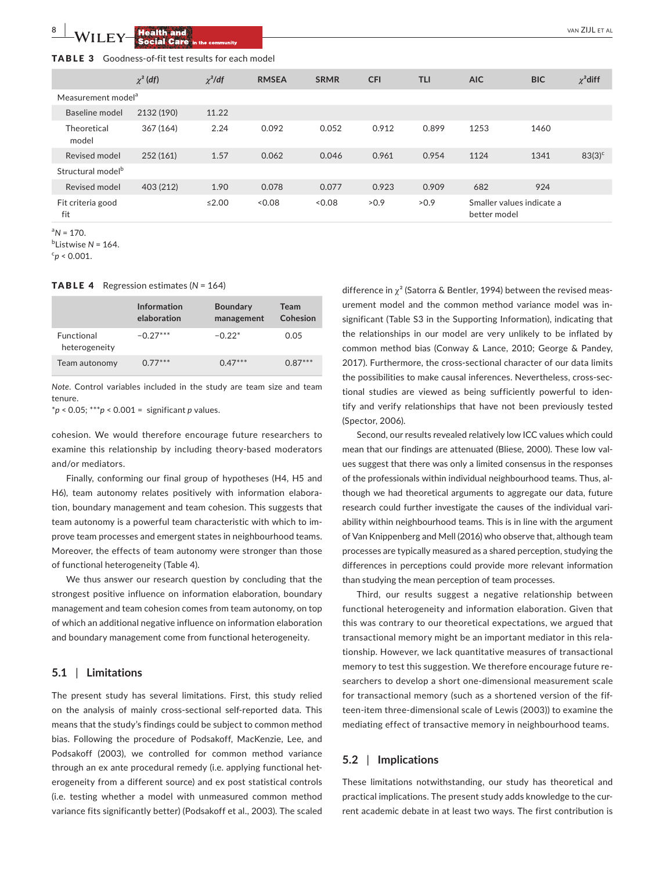## TABLE 3 Goodness‐of‐fit test results for each model

|                                | $\chi^2$ (df) | $\chi^2$ /df | <b>RMSEA</b> | <b>SRMR</b> | <b>CFI</b> | <b>TLI</b> | <b>AIC</b>                                | <b>BIC</b> | $\chi^2$ diff |
|--------------------------------|---------------|--------------|--------------|-------------|------------|------------|-------------------------------------------|------------|---------------|
| Measurement model <sup>a</sup> |               |              |              |             |            |            |                                           |            |               |
| Baseline model                 | 2132 (190)    | 11.22        |              |             |            |            |                                           |            |               |
| Theoretical<br>model           | 367 (164)     | 2.24         | 0.092        | 0.052       | 0.912      | 0.899      | 1253                                      | 1460       |               |
| Revised model                  | 252 (161)     | 1.57         | 0.062        | 0.046       | 0.961      | 0.954      | 1124                                      | 1341       | $83(3)^{c}$   |
| Structural model <sup>b</sup>  |               |              |              |             |            |            |                                           |            |               |
| Revised model                  | 403 (212)     | 1.90         | 0.078        | 0.077       | 0.923      | 0.909      | 682                                       | 924        |               |
| Fit criteria good<br>fit       |               | $≤2.00$      | < 0.08       | < 0.08      | >0.9       | >0.9       | Smaller values indicate a<br>better model |            |               |

 ${}^{a}N = 170.$ 

b Listwise *N* = 164.

 $c_p$  < 0.001.

#### TABLE 4 Regression estimates (*N* = 164)

|                                    | Information<br>elaboration | <b>Boundary</b><br>management | Team<br>Cohesion |
|------------------------------------|----------------------------|-------------------------------|------------------|
| <b>Functional</b><br>heterogeneity | $-0.27***$                 | $-0.22*$                      | 0.05             |
| Team autonomy                      | $0.77***$                  | $0.47***$                     | $0.87***$        |

*Note*. Control variables included in the study are team size and team tenure.

\**p* < 0.05; \*\*\**p* < 0.001 = significant *p* values.

cohesion. We would therefore encourage future researchers to examine this relationship by including theory‐based moderators and/or mediators.

Finally, conforming our final group of hypotheses (H4, H5 and H6), team autonomy relates positively with information elaboration, boundary management and team cohesion. This suggests that team autonomy is a powerful team characteristic with which to improve team processes and emergent states in neighbourhood teams. Moreover, the effects of team autonomy were stronger than those of functional heterogeneity (Table 4).

We thus answer our research question by concluding that the strongest positive influence on information elaboration, boundary management and team cohesion comes from team autonomy, on top of which an additional negative influence on information elaboration and boundary management come from functional heterogeneity.

#### **5.1** | **Limitations**

The present study has several limitations. First, this study relied on the analysis of mainly cross‐sectional self‐reported data. This means that the study's findings could be subject to common method bias. Following the procedure of Podsakoff, MacKenzie, Lee, and Podsakoff (2003), we controlled for common method variance through an ex ante procedural remedy (i.e. applying functional heterogeneity from a different source) and ex post statistical controls (i.e. testing whether a model with unmeasured common method variance fits significantly better) (Podsakoff et al., 2003). The scaled

difference in  $\chi^2$  (Satorra & Bentler, 1994) between the revised measurement model and the common method variance model was insignificant (Table S3 in the Supporting Information), indicating that the relationships in our model are very unlikely to be inflated by common method bias (Conway & Lance, 2010; George & Pandey, 2017). Furthermore, the cross‐sectional character of our data limits the possibilities to make causal inferences. Nevertheless, cross‐sectional studies are viewed as being sufficiently powerful to identify and verify relationships that have not been previously tested (Spector, 2006).

Second, our results revealed relatively low ICC values which could mean that our findings are attenuated (Bliese, 2000). These low values suggest that there was only a limited consensus in the responses of the professionals within individual neighbourhood teams. Thus, although we had theoretical arguments to aggregate our data, future research could further investigate the causes of the individual variability within neighbourhood teams. This is in line with the argument of Van Knippenberg and Mell (2016) who observe that, although team processes are typically measured as a shared perception, studying the differences in perceptions could provide more relevant information than studying the mean perception of team processes.

Third, our results suggest a negative relationship between functional heterogeneity and information elaboration. Given that this was contrary to our theoretical expectations, we argued that transactional memory might be an important mediator in this relationship. However, we lack quantitative measures of transactional memory to test this suggestion. We therefore encourage future researchers to develop a short one‐dimensional measurement scale for transactional memory (such as a shortened version of the fifteen‐item three‐dimensional scale of Lewis (2003)) to examine the mediating effect of transactive memory in neighbourhood teams.

## **5.2** | **Implications**

These limitations notwithstanding, our study has theoretical and practical implications. The present study adds knowledge to the current academic debate in at least two ways. The first contribution is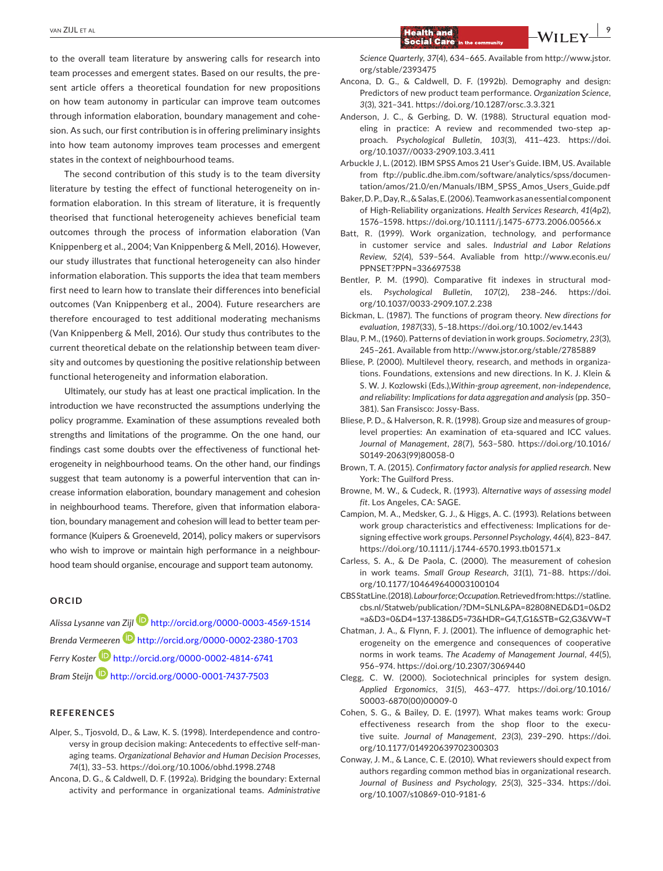to the overall team literature by answering calls for research into team processes and emergent states. Based on our results, the present article offers a theoretical foundation for new propositions on how team autonomy in particular can improve team outcomes through information elaboration, boundary management and cohesion. As such, our first contribution is in offering preliminary insights into how team autonomy improves team processes and emergent states in the context of neighbourhood teams.

The second contribution of this study is to the team diversity literature by testing the effect of functional heterogeneity on information elaboration. In this stream of literature, it is frequently theorised that functional heterogeneity achieves beneficial team outcomes through the process of information elaboration (Van Knippenberg et al., 2004; Van Knippenberg & Mell, 2016). However, our study illustrates that functional heterogeneity can also hinder information elaboration. This supports the idea that team members first need to learn how to translate their differences into beneficial outcomes (Van Knippenberg et al., 2004). Future researchers are therefore encouraged to test additional moderating mechanisms (Van Knippenberg & Mell, 2016). Our study thus contributes to the current theoretical debate on the relationship between team diversity and outcomes by questioning the positive relationship between functional heterogeneity and information elaboration.

Ultimately, our study has at least one practical implication. In the introduction we have reconstructed the assumptions underlying the policy programme. Examination of these assumptions revealed both strengths and limitations of the programme. On the one hand, our findings cast some doubts over the effectiveness of functional heterogeneity in neighbourhood teams. On the other hand, our findings suggest that team autonomy is a powerful intervention that can increase information elaboration, boundary management and cohesion in neighbourhood teams. Therefore, given that information elaboration, boundary management and cohesion will lead to better team performance (Kuipers & Groeneveld, 2014), policy makers or supervisors who wish to improve or maintain high performance in a neighbourhood team should organise, encourage and support team autonomy.

#### **ORCID**

*Alissa Lysanne van Zij[l](http://orcid.org/0000-0003-4569-1514)* <http://orcid.org/0000-0003-4569-1514> *Brenda Vermeeren* <http://orcid.org/0000-0002-2380-1703> *Ferry Koste[r](http://orcid.org/0000-0002-4814-6741)* <http://orcid.org/0000-0002-4814-6741> *Bram Steijn* <http://orcid.org/0000-0001-7437-7503>

#### **REFERENCES**

- Alper, S., Tjosvold, D., & Law, K. S. (1998). Interdependence and controversy in group decision making: Antecedents to effective self‐managing teams. *Organizational Behavior and Human Decision Processes*, *74*(1), 33–53. <https://doi.org/10.1006/obhd.1998.2748>
- Ancona, D. G., & Caldwell, D. F. (1992a). Bridging the boundary: External activity and performance in organizational teams. *Administrative*

*Science Quarterly*, *37*(4), 634–665. Available from [http://www.jstor.](http://www.jstor.org/stable/2393475) [org/stable/2393475](http://www.jstor.org/stable/2393475)

Ancona, D. G., & Caldwell, D. F. (1992b). Demography and design: Predictors of new product team performance. *Organization Science*, *3*(3), 321–341. <https://doi.org/10.1287/orsc.3.3.321>

**Social Care** 

- Anderson, J. C., & Gerbing, D. W. (1988). Structural equation modeling in practice: A review and recommended two‐step approach. *Psychological Bulletin*, *103*(3), 411–423. [https://doi.](https://doi.org/10.1037//0033-2909.103.3.411) [org/10.1037//0033-2909.103.3.411](https://doi.org/10.1037//0033-2909.103.3.411)
- Arbuckle J, L. (2012). IBM SPSS Amos 21 User's Guide. IBM, US. Available from [ftp://public.dhe.ibm.com/software/analytics/spss/documen](ftp://public.dhe.ibm.com/software/analytics/spss/documentation/amos/21.0/en/Manuals/IBM_SPSS_Amos_Users_Guide.pdf)[tation/amos/21.0/en/Manuals/IBM\\_SPSS\\_Amos\\_Users\\_Guide.pdf](ftp://public.dhe.ibm.com/software/analytics/spss/documentation/amos/21.0/en/Manuals/IBM_SPSS_Amos_Users_Guide.pdf)
- Baker,D.P.,Day,R.,&Salas,E.(2006).Teamworkasanessentialcomponent of High‐Reliability organizations. *Health Services Research*, *41*(4p2), 1576–1598. <https://doi.org/10.1111/j.1475-6773.2006.00566.x>
- Batt, R. (1999). Work organization, technology, and performance in customer service and sales. *Industrial and Labor Relations Review*, *52*(4), 539–564. Avaliable from [http://www.econis.eu/](http://www.econis.eu/PPNSET?PPN=336697538) [PPNSET?PPN=336697538](http://www.econis.eu/PPNSET?PPN=336697538)
- Bentler, P. M. (1990). Comparative fit indexes in structural models. *Psychological Bulletin*, *107*(2), 238–246. [https://doi.](https://doi.org/10.1037/0033-2909.107.2.238) [org/10.1037/0033-2909.107.2.238](https://doi.org/10.1037/0033-2909.107.2.238)
- Bickman, L. (1987). The functions of program theory. *New directions for evaluation*, *1987*(33), 5–18.<https://doi.org/10.1002/ev.1443>
- Blau, P. M., (1960). Patterns of deviation in work groups. *Sociometry*, *23*(3), 245–261. Available from <http://www.jstor.org/stable/2785889>
- Bliese, P. (2000). Multilevel theory, research, and methods in organizations. Foundations, extensions and new directions. In K. J. Klein & S. W. J. Kozlowski (Eds.),*Within‐group agreement, non‐independence, and reliability: Implications for data aggregation and analysis* (pp. 350– 381). San Fransisco: Jossy‐Bass.
- Bliese, P. D., & Halverson, R. R. (1998). Group size and measures of group‐ level properties: An examination of eta-squared and ICC values. *Journal of Management*, *28*(7), 563–580. [https://doi.org/10.1016/](https://doi.org/10.1016/S0149-2063(99)80058-0) [S0149-2063\(99\)80058-0](https://doi.org/10.1016/S0149-2063(99)80058-0)
- Brown, T. A. (2015). *Confirmatory factor analysis for applied research*. New York: The Guilford Press.
- Browne, M. W., & Cudeck, R. (1993). *Alternative ways of assessing model fit*. Los Angeles, CA: SAGE.
- Campion, M. A., Medsker, G. J., & Higgs, A. C. (1993). Relations between work group characteristics and effectiveness: Implications for designing effective work groups. *Personnel Psychology*, *46*(4), 823–847. <https://doi.org/10.1111/j.1744-6570.1993.tb01571.x>
- Carless, S. A., & De Paola, C. (2000). The measurement of cohesion in work teams. *Small Group Research*, *31*(1), 71–88. [https://doi.](https://doi.org/10.1177/104649640003100104) [org/10.1177/104649640003100104](https://doi.org/10.1177/104649640003100104)
- CBSStatLine.(2018).*Labour force; Occupation*.Retrievedfrom:[https://statline.](https://statline.cbs.nl/Statweb/publication/?DM=SLNL&PA=82808NED&D1=0&D2=a&D3=0&D4=137-138&D5=73&HDR=G4%2cT%2cG1&STB=G2%2cG3&VW=T) [cbs.nl/Statweb/publication/?DM=SLNL&PA=82808NED&D1=0&D2](https://statline.cbs.nl/Statweb/publication/?DM=SLNL&PA=82808NED&D1=0&D2=a&D3=0&D4=137-138&D5=73&HDR=G4%2cT%2cG1&STB=G2%2cG3&VW=T) [=a&D3=0&D4=137-138&D5=73&HDR=G4,T,G1&STB=G2,G3&VW=T](https://statline.cbs.nl/Statweb/publication/?DM=SLNL&PA=82808NED&D1=0&D2=a&D3=0&D4=137-138&D5=73&HDR=G4%2cT%2cG1&STB=G2%2cG3&VW=T)
- Chatman, J. A., & Flynn, F. J. (2001). The influence of demographic heterogeneity on the emergence and consequences of cooperative norms in work teams. *The Academy of Management Journal*, *44*(5), 956–974. <https://doi.org/10.2307/3069440>
- Clegg, C. W. (2000). Sociotechnical principles for system design. *Applied Ergonomics*, *31*(5), 463–477. [https://doi.org/10.1016/](https://doi.org/10.1016/S0003-6870(00)00009-0) [S0003-6870\(00\)00009-0](https://doi.org/10.1016/S0003-6870(00)00009-0)
- Cohen, S. G., & Bailey, D. E. (1997). What makes teams work: Group effectiveness research from the shop floor to the executive suite. *Journal of Management*, *23*(3), 239–290. [https://doi.](https://doi.org/10.1177/014920639702300303) [org/10.1177/014920639702300303](https://doi.org/10.1177/014920639702300303)
- Conway, J. M., & Lance, C. E. (2010). What reviewers should expect from authors regarding common method bias in organizational research. *Journal of Business and Psychology*, *25*(3), 325–334. [https://doi.](https://doi.org/10.1007/s10869-010-9181-6) [org/10.1007/s10869-010-9181-6](https://doi.org/10.1007/s10869-010-9181-6)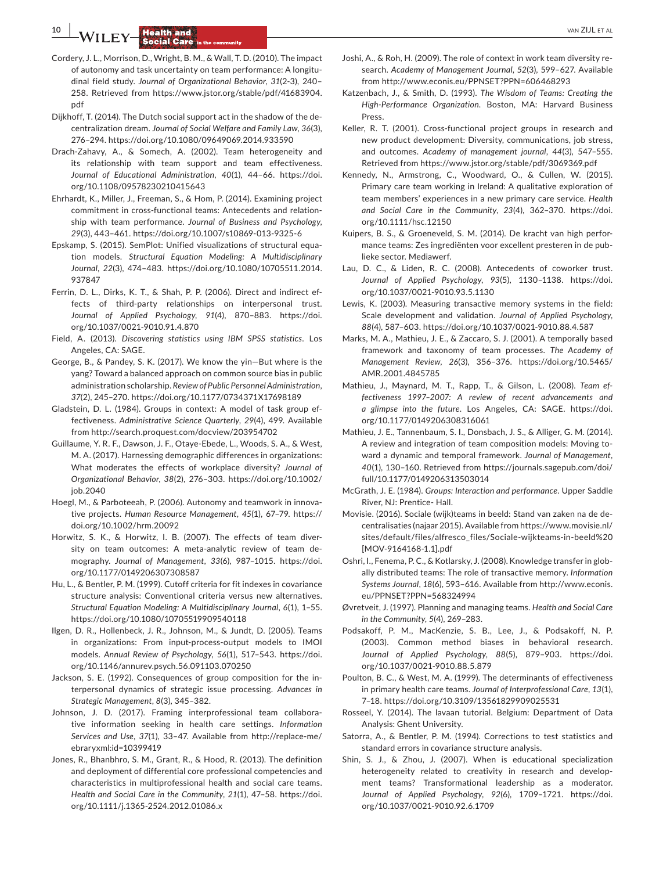**10 <b>b 10** *LA/LL EX/* **Health and<sup>§</sup> b 10** *C C C C C C C C C C C C C C C C C C C C C C C C C C C C*

- Cordery, J. L., Morrison, D., Wright, B. M., & Wall, T. D. (2010). The impact of autonomy and task uncertainty on team performance: A longitudinal field study. *Journal of Organizational Behavior*, *31*(2‐3), 240– 258. Retrieved from [https://www.jstor.org/stable/pdf/41683904.](https://www.jstor.org/stable/pdf/41683904.pdf) [pdf](https://www.jstor.org/stable/pdf/41683904.pdf)
- Dijkhoff, T. (2014). The Dutch social support act in the shadow of the decentralization dream. *Journal of Social Welfare and Family Law*, *36*(3), 276–294. <https://doi.org/10.1080/09649069.2014.933590>
- Drach‐Zahavy, A., & Somech, A. (2002). Team heterogeneity and its relationship with team support and team effectiveness. *Journal of Educational Administration*, *40*(1), 44–66. [https://doi.](https://doi.org/10.1108/09578230210415643) [org/10.1108/09578230210415643](https://doi.org/10.1108/09578230210415643)
- Ehrhardt, K., Miller, J., Freeman, S., & Hom, P. (2014). Examining project commitment in cross‐functional teams: Antecedents and relationship with team performance. *Journal of Business and Psychology*, *29*(3), 443–461. <https://doi.org/10.1007/s10869-013-9325-6>
- Epskamp, S. (2015). SemPlot: Unified visualizations of structural equation models. *Structural Equation Modeling: A Multidisciplinary Journal*, *22*(3), 474–483. [https://doi.org/10.1080/10705511.2014.](https://doi.org/10.1080/10705511.2014.937847) [937847](https://doi.org/10.1080/10705511.2014.937847)
- Ferrin, D. L., Dirks, K. T., & Shah, P. P. (2006). Direct and indirect effects of third-party relationships on interpersonal trust. *Journal of Applied Psychology*, *91*(4), 870–883. [https://doi.](https://doi.org/10.1037/0021-9010.91.4.870) [org/10.1037/0021-9010.91.4.870](https://doi.org/10.1037/0021-9010.91.4.870)
- Field, A. (2013). *Discovering statistics using IBM SPSS statistics*. Los Angeles, CA: SAGE.
- George, B., & Pandey, S. K. (2017). We know the yin—But where is the yang? Toward a balanced approach on common source bias in public administration scholarship. *Review of Public Personnel Administration*, *37*(2), 245–270. <https://doi.org/10.1177/0734371X17698189>
- Gladstein, D. L. (1984). Groups in context: A model of task group effectiveness. *Administrative Science Quarterly*, *29*(4), 499. Available from <http://search.proquest.com/docview/203954702>
- Guillaume, Y. R. F., Dawson, J. F., Otaye‐Ebede, L., Woods, S. A., & West, M. A. (2017). Harnessing demographic differences in organizations: What moderates the effects of workplace diversity? *Journal of Organizational Behavior*, *38*(2), 276–303. [https://doi.org/10.1002/](https://doi.org/10.1002/job.2040) [job.2040](https://doi.org/10.1002/job.2040)
- Hoegl, M., & Parboteeah, P. (2006). Autonomy and teamwork in innovative projects. *Human Resource Management*, *45*(1), 67–79. [https://](https://doi.org/10.1002/hrm.20092) [doi.org/10.1002/hrm.20092](https://doi.org/10.1002/hrm.20092)
- Horwitz, S. K., & Horwitz, I. B. (2007). The effects of team diversity on team outcomes: A meta-analytic review of team demography. *Journal of Management*, *33*(6), 987–1015. [https://doi.](https://doi.org/10.1177/0149206307308587) [org/10.1177/0149206307308587](https://doi.org/10.1177/0149206307308587)
- Hu, L., & Bentler, P. M. (1999). Cutoff criteria for fit indexes in covariance structure analysis: Conventional criteria versus new alternatives. *Structural Equation Modeling: A Multidisciplinary Journal*, *6*(1), 1–55. <https://doi.org/10.1080/10705519909540118>
- Ilgen, D. R., Hollenbeck, J. R., Johnson, M., & Jundt, D. (2005). Teams in organizations: From input‐process‐output models to IMOI models. *Annual Review of Psychology*, *56*(1), 517–543. [https://doi.](https://doi.org/10.1146/annurev.psych.56.091103.070250) [org/10.1146/annurev.psych.56.091103.070250](https://doi.org/10.1146/annurev.psych.56.091103.070250)
- Jackson, S. E. (1992). Consequences of group composition for the interpersonal dynamics of strategic issue processing. *Advances in Strategic Management*, *8*(3), 345–382.
- Johnson, J. D. (2017). Framing interprofessional team collaborative information seeking in health care settings. *Information Services and Use*, *37*(1), 33–47. Available from [http://replace-me/](http://replace-me/ebraryxml:id=10399419) [ebraryxml:id=10399419](http://replace-me/ebraryxml:id=10399419)
- Jones, R., Bhanbhro, S. M., Grant, R., & Hood, R. (2013). The definition and deployment of differential core professional competencies and characteristics in multiprofessional health and social care teams. *Health and Social Care in the Community*, *21*(1), 47–58. [https://doi.](https://doi.org/10.1111/j.1365-2524.2012.01086.x) [org/10.1111/j.1365-2524.2012.01086.x](https://doi.org/10.1111/j.1365-2524.2012.01086.x)
- Joshi, A., & Roh, H. (2009). The role of context in work team diversity research. *Academy of Management Journal*, *52*(3), 599–627. Available from <http://www.econis.eu/PPNSET?PPN=606468293>
- Katzenbach, J., & Smith, D. (1993). *The Wisdom of Teams: Creating the High-Performance Organization*. Boston, MA: Harvard Business Press.
- Keller, R. T. (2001). Cross-functional project groups in research and new product development: Diversity, communications, job stress, and outcomes. *Academy of management journal*, *44*(3), 547–555. Retrieved from <https://www.jstor.org/stable/pdf/3069369.pdf>
- Kennedy, N., Armstrong, C., Woodward, O., & Cullen, W. (2015). Primary care team working in Ireland: A qualitative exploration of team members' experiences in a new primary care service. *Health and Social Care in the Community*, *23*(4), 362–370. [https://doi.](https://doi.org/10.1111/hsc.12150) [org/10.1111/hsc.12150](https://doi.org/10.1111/hsc.12150)
- Kuipers, B. S., & Groeneveld, S. M. (2014). De kracht van high performance teams: Zes ingrediënten voor excellent presteren in de publieke sector. Mediawerf.
- Lau, D. C., & Liden, R. C. (2008). Antecedents of coworker trust. *Journal of Applied Psychology*, *93*(5), 1130–1138. [https://doi.](https://doi.org/10.1037/0021-9010.93.5.1130) [org/10.1037/0021-9010.93.5.1130](https://doi.org/10.1037/0021-9010.93.5.1130)
- Lewis, K. (2003). Measuring transactive memory systems in the field: Scale development and validation. *Journal of Applied Psychology*, *88*(4), 587–603. <https://doi.org/10.1037/0021-9010.88.4.587>
- Marks, M. A., Mathieu, J. E., & Zaccaro, S. J. (2001). A temporally based framework and taxonomy of team processes. *The Academy of Management Review*, *26*(3), 356–376. [https://doi.org/10.5465/](https://doi.org/10.5465/AMR.2001.4845785) [AMR.2001.4845785](https://doi.org/10.5465/AMR.2001.4845785)
- Mathieu, J., Maynard, M. T., Rapp, T., & Gilson, L. (2008). *Team ef‐ fectiveness 1997–2007: A review of recent advancements and a glimpse into the future*. Los Angeles, CA: SAGE. [https://doi.](https://doi.org/10.1177/0149206308316061) [org/10.1177/0149206308316061](https://doi.org/10.1177/0149206308316061)
- Mathieu, J. E., Tannenbaum, S. I., Donsbach, J. S., & Alliger, G. M. (2014). A review and integration of team composition models: Moving toward a dynamic and temporal framework. *Journal of Management*, *40*(1), 130–160. Retrieved from [https://journals.sagepub.com/doi/](https://journals.sagepub.com/doi/full/10.1177/0149206313503014) [full/10.1177/0149206313503014](https://journals.sagepub.com/doi/full/10.1177/0149206313503014)
- McGrath, J. E. (1984). *Groups: Interaction and performance*. Upper Saddle River, NJ: Prentice‐ Hall.
- Movisie. (2016). Sociale (wijk)teams in beeld: Stand van zaken na de decentralisaties (najaar 2015). Available from [https://www.movisie.nl/](https://www.movisie.nl/sites/default/files/alfresco_files/Sociale-wijkteams-in-beeld [MOV-9164168-1.1].pdf) [sites/default/files/alfresco\\_files/Sociale-wijkteams-in-beeld%20](https://www.movisie.nl/sites/default/files/alfresco_files/Sociale-wijkteams-in-beeld [MOV-9164168-1.1].pdf) [\[MOV-9164168-1.1\].pdf](https://www.movisie.nl/sites/default/files/alfresco_files/Sociale-wijkteams-in-beeld [MOV-9164168-1.1].pdf)
- Oshri, I., Fenema, P. C., & Kotlarsky, J. (2008). Knowledge transfer in globally distributed teams: The role of transactive memory. *Information Systems Journal*, *18*(6), 593–616. Available from [http://www.econis.](http://www.econis.eu/PPNSET?PPN=568324994) [eu/PPNSET?PPN=568324994](http://www.econis.eu/PPNSET?PPN=568324994)
- Øvretveit, J. (1997). Planning and managing teams. *Health and Social Care in the Community*, *5*(4), 269–283.
- Podsakoff, P. M., MacKenzie, S. B., Lee, J., & Podsakoff, N. P. (2003). Common method biases in behavioral research. *Journal of Applied Psychology*, *88*(5), 879–903. [https://doi.](https://doi.org/10.1037/0021-9010.88.5.879) [org/10.1037/0021-9010.88.5.879](https://doi.org/10.1037/0021-9010.88.5.879)
- Poulton, B. C., & West, M. A. (1999). The determinants of effectiveness in primary health care teams. *Journal of Interprofessional Care*, *13*(1), 7–18. <https://doi.org/10.3109/13561829909025531>
- Rosseel, Y. (2014). The lavaan tutorial. Belgium: Department of Data Analysis: Ghent University.
- Satorra, A., & Bentler, P. M. (1994). Corrections to test statistics and standard errors in covariance structure analysis.
- Shin, S. J., & Zhou, J. (2007). When is educational specialization heterogeneity related to creativity in research and development teams? Transformational leadership as a moderator. *Journal of Applied Psychology*, *92*(6), 1709–1721. [https://doi.](https://doi.org/10.1037/0021-9010.92.6.1709) [org/10.1037/0021-9010.92.6.1709](https://doi.org/10.1037/0021-9010.92.6.1709)